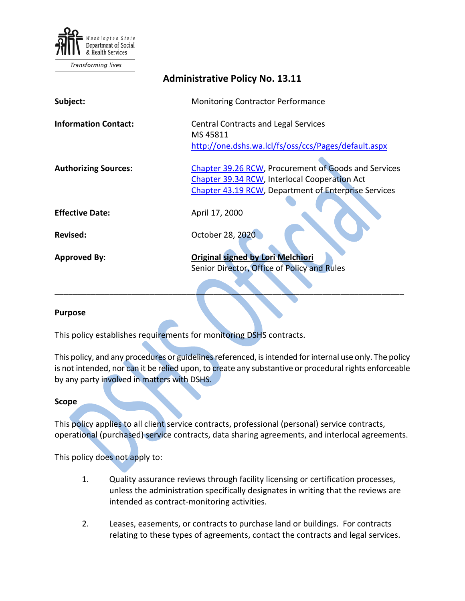

Transforming lives

| <b>Administrative Policy No. 13.11</b> |                                                                                                                                                                      |
|----------------------------------------|----------------------------------------------------------------------------------------------------------------------------------------------------------------------|
| Subject:                               | Monitoring Contractor Performance                                                                                                                                    |
| <b>Information Contact:</b>            | <b>Central Contracts and Legal Services</b><br>MS 45811<br>http://one.dshs.wa.lcl/fs/oss/ccs/Pages/default.aspx                                                      |
| <b>Authorizing Sources:</b>            | Chapter 39.26 RCW, Procurement of Goods and Services<br>Chapter 39.34 RCW, Interlocal Cooperation Act<br><b>Chapter 43.19 RCW, Department of Enterprise Services</b> |
| <b>Effective Date:</b>                 | April 17, 2000                                                                                                                                                       |
| <b>Revised:</b>                        | October 28, 2020                                                                                                                                                     |
| <b>Approved By:</b>                    | <b>Original signed by Lori Melchiori</b><br>Senior Director, Office of Policy and Rules                                                                              |

#### **Purpose**

This policy establishes requirements for monitoring DSHS contracts.

This policy, and any procedures or guidelines referenced, is intended for internal use only. The policy is not intended, nor can it be relied upon, to create any substantive or procedural rights enforceable by any party involved in matters with DSHS.

\_\_\_\_\_\_\_\_\_\_\_\_\_\_\_\_\_\_\_\_\_\_\_\_\_\_\_\_\_\_\_\_\_\_\_\_\_\_\_\_\_\_\_\_\_\_\_\_\_\_\_\_\_\_\_\_\_\_\_\_\_\_\_\_\_\_\_\_\_\_\_\_\_\_\_\_\_

#### **Scope**

This policy applies to all client service contracts, professional (personal) service contracts, operational (purchased) service contracts, data sharing agreements, and interlocal agreements.

This policy does not apply to:

- 1. Quality assurance reviews through facility licensing or certification processes, unless the administration specifically designates in writing that the reviews are intended as contract-monitoring activities.
- 2. Leases, easements, or contracts to purchase land or buildings. For contracts relating to these types of agreements, contact the contracts and legal services.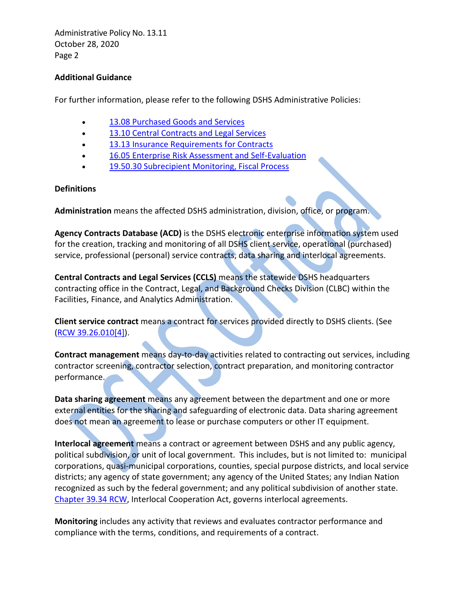Administrative Policy No. 13.11 October 28, 2020 Page 2

## **Additional Guidance**

For further information, please refer to the following DSHS Administrative Policies:

- [13.08 Purchased Goods and Services](http://one.dshs.wa.lcl/Policies/Administrative/DSHS-AP-13-08.pdf)
- [13.10 Central Contracts and Legal](http://one.dshs.wa.lcl/Policies/Administrative/DSHS-AP-13-10.pdf) Services
- [13.13 Insurance Requirements for Contracts](http://one.dshs.wa.lcl/Policies/Administrative/DSHS-AP-13-13.pdf)
- 16.05 Enterprise [Risk Assessment and Self-Evaluation](http://one.dshs.wa.lcl/Policies/Administrative/DSHS-AP-16-05.pdf)
- [19.50.30 Subrecipient Monitoring, Fiscal Process](http://one.dshs.wa.lcl/Policies/Administrative/DSHS-AP-19-50-30.pdf)

## **Definitions**

**Administration** means the affected DSHS administration, division, office, or program.

**Agency Contracts Database (ACD)** is the DSHS electronic enterprise information system used for the creation, tracking and monitoring of all DSHS client service, operational (purchased) service, professional (personal) service contracts, data sharing and interlocal agreements.

**Central Contracts and Legal Services (CCLS)** means the statewide DSHS headquarters contracting office in the Contract, Legal, and Background Checks Division (CLBC) within the Facilities, Finance, and Analytics Administration.

**Client service contract** means a contract for services provided directly to DSHS clients. (See [\(RCW 39.26.010\[4\]\)](https://apps.leg.wa.gov/rcw/default.aspx?cite=39.26).

**Contract management** means day-to-day activities related to contracting out services, including contractor screening, contractor selection, contract preparation, and monitoring contractor performance.

**Data sharing agreement** means any agreement between the department and one or more external entities for the sharing and safeguarding of electronic data. Data sharing agreement does not mean an agreement to lease or purchase computers or other IT equipment.

**Interlocal agreement** means a contract or agreement between DSHS and any public agency, political subdivision, or unit of local government. This includes, but is not limited to: municipal corporations, quasi-municipal corporations, counties, special purpose districts, and local service districts; any agency of state government; any agency of the United States; any Indian Nation recognized as such by the federal government; and any political subdivision of another state. [Chapter 39.34 RCW,](http://app.leg.wa.gov/rcw/default.aspx?cite=39.34) Interlocal Cooperation Act, governs interlocal agreements.

**Monitoring** includes any activity that reviews and evaluates contractor performance and compliance with the terms, conditions, and requirements of a contract.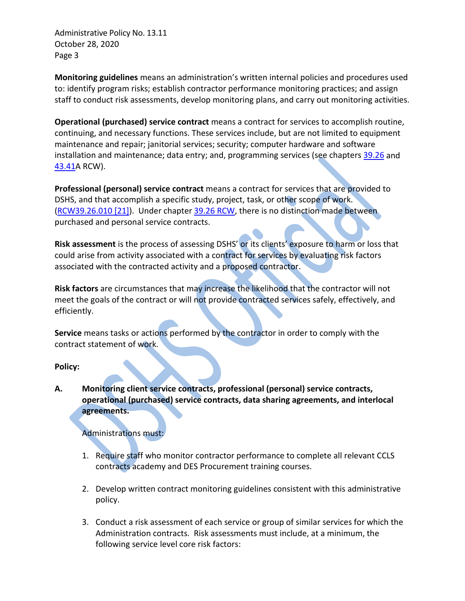Administrative Policy No. 13.11 October 28, 2020 Page 3

**Monitoring guidelines** means an administration's written internal policies and procedures used to: identify program risks; establish contractor performance monitoring practices; and assign staff to conduct risk assessments, develop monitoring plans, and carry out monitoring activities.

**Operational (purchased) service contract** means a contract for services to accomplish routine, continuing, and necessary functions. These services include, but are not limited to equipment maintenance and repair; janitorial services; security; computer hardware and software installation and maintenance; data entry; and, programming services (see chapter[s 39.26](https://apps.leg.wa.gov/rcw/default.aspx?cite=39.26) and [43.41A](https://apps.leg.wa.gov/rcw/default.aspx?cite=43.41) RCW).

**Professional (personal) service contract** means a contract for services that are provided to DSHS, and that accomplish a specific study, project, task, or other scope of work. [\(RCW39.26.010 \[21\]\)](https://apps.leg.wa.gov/rcw/default.aspx?cite=39.26). Under chapter [39.26](https://apps.leg.wa.gov/rcw/default.aspx?cite=39.26) RCW, there is no distinction made between purchased and personal service contracts.

**Risk assessment** is the process of assessing DSHS' or its clients' exposure to harm or loss that could arise from activity associated with a contract for services by evaluating risk factors associated with the contracted activity and a proposed contractor.

**Risk factors** are circumstances that may increase the likelihood that the contractor will not meet the goals of the contract or will not provide contracted services safely, effectively, and efficiently.

**Service** means tasks or actions performed by the contractor in order to comply with the contract statement of work.

## **Policy:**

**A. Monitoring client service contracts, professional (personal) service contracts, operational (purchased) service contracts, data sharing agreements, and interlocal agreements.** 

# Administrations must:

- 1. Require staff who monitor contractor performance to complete all relevant CCLS contracts academy and DES Procurement training courses.
- 2. Develop written contract monitoring guidelines consistent with this administrative policy.
- 3. Conduct a risk assessment of each service or group of similar services for which the Administration contracts. Risk assessments must include, at a minimum, the following service level core risk factors: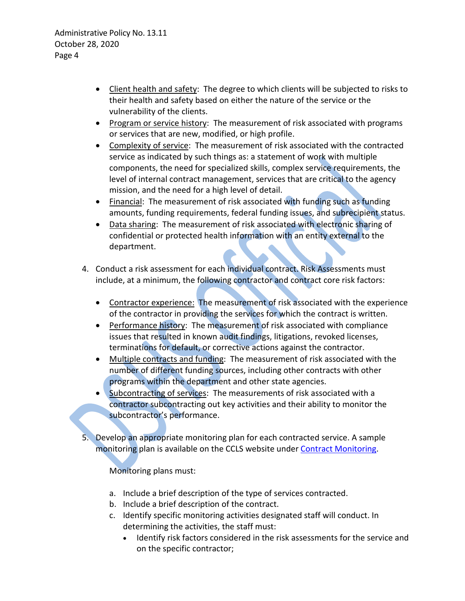- Client health and safety: The degree to which clients will be subjected to risks to their health and safety based on either the nature of the service or the vulnerability of the clients.
- Program or service history: The measurement of risk associated with programs or services that are new, modified, or high profile.
- Complexity of service: The measurement of risk associated with the contracted service as indicated by such things as: a statement of work with multiple components, the need for specialized skills, complex service requirements, the level of internal contract management, services that are critical to the agency mission, and the need for a high level of detail.
- Financial: The measurement of risk associated with funding such as funding amounts, funding requirements, federal funding issues, and subrecipient status.
- Data sharing: The measurement of risk associated with electronic sharing of confidential or protected health information with an entity external to the department.
- 4. Conduct a risk assessment for each individual contract. Risk Assessments must include, at a minimum, the following contractor and contract core risk factors:
	- Contractor experience: The measurement of risk associated with the experience of the contractor in providing the services for which the contract is written.
	- Performance history: The measurement of risk associated with compliance issues that resulted in known audit findings, litigations, revoked licenses, terminations for default, or corrective actions against the contractor.
	- Multiple contracts and funding: The measurement of risk associated with the number of different funding sources, including other contracts with other programs within the department and other state agencies.
	- Subcontracting of services: The measurements of risk associated with a contractor subcontracting out key activities and their ability to monitor the subcontractor's performance.
- Develop an appropriate monitoring plan for each contracted service. A sample monitoring plan is available on the CCLS website under [Contract Monitoring.](http://one.dshs.wa.lcl/FS/OSS/CCS/Pages/Monitoring.aspx)

Monitoring plans must:

- a. Include a brief description of the type of services contracted.
- b. Include a brief description of the contract.
- c. Identify specific monitoring activities designated staff will conduct. In determining the activities, the staff must:
	- Identify risk factors considered in the risk assessments for the service and on the specific contractor;